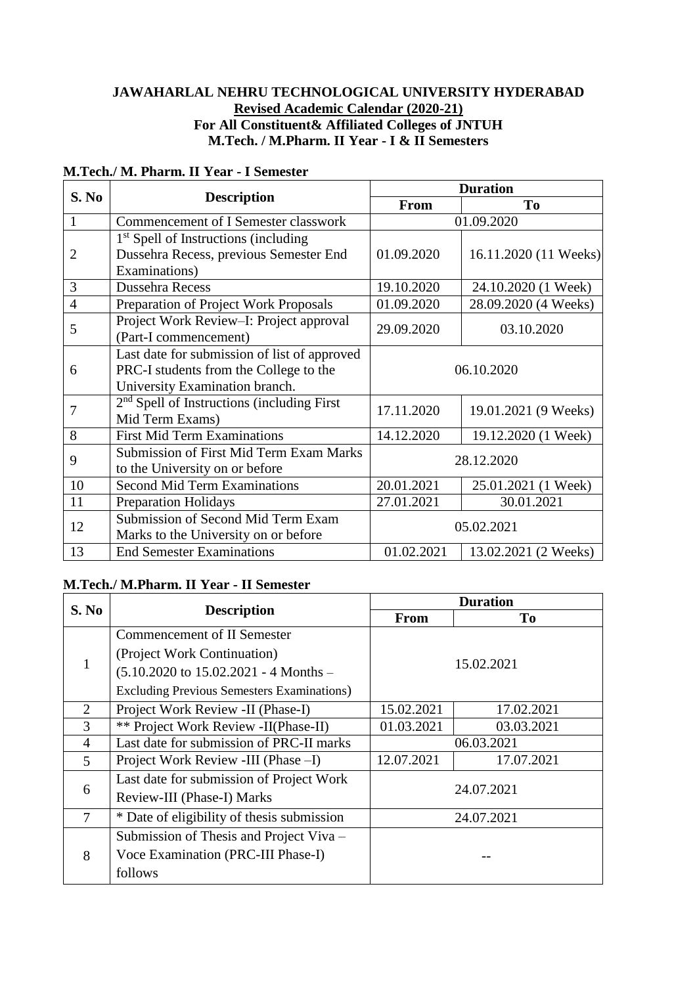## **JAWAHARLAL NEHRU TECHNOLOGICAL UNIVERSITY HYDERABAD Revised Academic Calendar (2020-21) For All Constituent& Affiliated Colleges of JNTUH M.Tech. / M.Pharm. II Year - I & II Semesters**

| S. No          | <b>Description</b>                             | <b>Duration</b>                    |                       |
|----------------|------------------------------------------------|------------------------------------|-----------------------|
|                |                                                | <b>From</b>                        | To                    |
| 1              | Commencement of I Semester classwork           | 01.09.2020                         |                       |
|                | $1st$ Spell of Instructions (including         |                                    |                       |
| $\overline{2}$ | Dussehra Recess, previous Semester End         | 01.09.2020                         | 16.11.2020 (11 Weeks) |
|                | Examinations)                                  |                                    |                       |
| 3              | Dussehra Recess                                | 19.10.2020                         | 24.10.2020 (1 Week)   |
| $\overline{4}$ | Preparation of Project Work Proposals          | 01.09.2020                         | 28.09.2020 (4 Weeks)  |
| 5              | Project Work Review-I: Project approval        | 29.09.2020<br>03.10.2020           |                       |
|                | (Part-I commencement)                          |                                    |                       |
| 6              | Last date for submission of list of approved   | 06.10.2020                         |                       |
|                | PRC-I students from the College to the         |                                    |                       |
|                | University Examination branch.                 |                                    |                       |
| 7              | $2nd$ Spell of Instructions (including First   | 17.11.2020<br>19.01.2021 (9 Weeks) |                       |
|                | Mid Term Exams)                                |                                    |                       |
| 8              | <b>First Mid Term Examinations</b>             | 14.12.2020                         | 19.12.2020 (1 Week)   |
| 9              | <b>Submission of First Mid Term Exam Marks</b> | 28.12.2020                         |                       |
|                | to the University on or before                 |                                    |                       |
| 10             | <b>Second Mid Term Examinations</b>            | 20.01.2021                         | 25.01.2021 (1 Week)   |
| 11             | <b>Preparation Holidays</b>                    | 27.01.2021                         | 30.01.2021            |
| 12             | Submission of Second Mid Term Exam             | 05.02.2021                         |                       |
|                | Marks to the University on or before           |                                    |                       |
| 13             | <b>End Semester Examinations</b>               | 01.02.2021                         | 13.02.2021 (2 Weeks)  |

## **M.Tech./ M. Pharm. II Year - I Semester**

## **M.Tech./ M.Pharm. II Year - II Semester**

| S. No          | <b>Description</b>                                       | <b>Duration</b> |            |  |
|----------------|----------------------------------------------------------|-----------------|------------|--|
|                |                                                          | From            | To         |  |
| 1              | Commencement of II Semester                              |                 |            |  |
|                | (Project Work Continuation)                              | 15.02.2021      |            |  |
|                | $(5.10.2020 \text{ to } 15.02.2021 - 4 \text{ months} -$ |                 |            |  |
|                | <b>Excluding Previous Semesters Examinations)</b>        |                 |            |  |
| $\overline{2}$ | Project Work Review -II (Phase-I)                        | 15.02.2021      | 17.02.2021 |  |
| 3              | <b>** Project Work Review -II(Phase-II)</b>              | 01.03.2021      | 03.03.2021 |  |
| $\overline{4}$ | Last date for submission of PRC-II marks                 | 06.03.2021      |            |  |
| 5              | Project Work Review -III (Phase -I)                      | 12.07.2021      | 17.07.2021 |  |
| 6              | Last date for submission of Project Work                 | 24.07.2021      |            |  |
|                | Review-III (Phase-I) Marks                               |                 |            |  |
| $\tau$         | * Date of eligibility of thesis submission               | 24.07.2021      |            |  |
| 8              | Submission of Thesis and Project Viva -                  |                 |            |  |
|                | Voce Examination (PRC-III Phase-I)                       |                 |            |  |
|                | follows                                                  |                 |            |  |